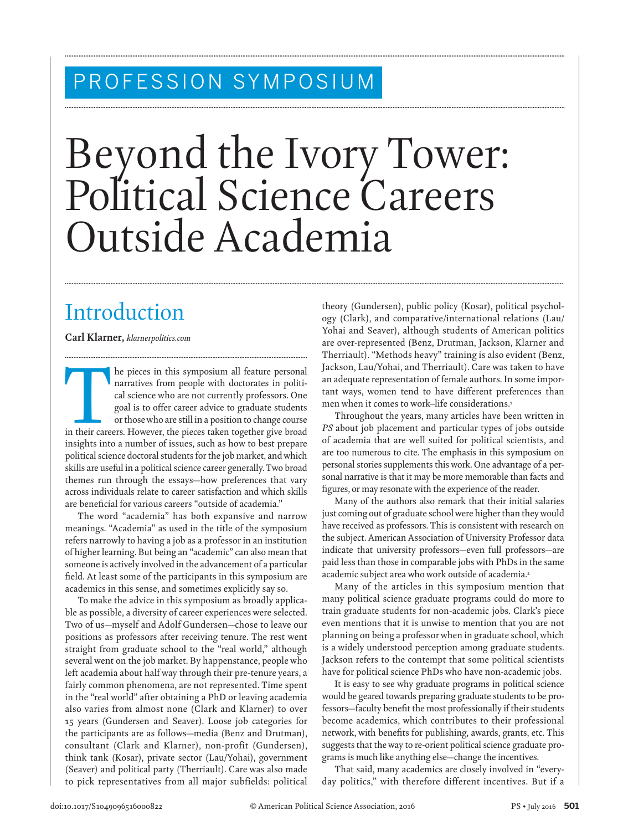## PROFESSION SYMPOSIUM

# Beyond the Ivory Tower: Political Science Careers Outside Academia

**........................................................................................................................................................................................................................................................................................................**

**........................................................................................................................................................................................................................................................................................................**

**.......................................................................................................................................................................................................................................................................................................**

# Introduction

 **Carl Klarner ,** *klarnerpolitics.com* 

The pieces in this symposium all feature personal narratives from people with doctorates in political science who are not currently professors. One goal is to offer career advice to graduate students or those who are still narratives from people with doctorates in political science who are not currently professors. One goal is to offer career advice to graduate students or those who are still in a position to change course insights into a number of issues, such as how to best prepare political science doctoral students for the job market, and which skills are useful in a political science career generally. Two broad themes run through the essays—how preferences that vary across individuals relate to career satisfaction and which skills are beneficial for various careers "outside of academia."

**...............................................................................................................................................**

 The word "academia" has both expansive and narrow meanings. "Academia" as used in the title of the symposium refers narrowly to having a job as a professor in an institution of higher learning. But being an "academic" can also mean that someone is actively involved in the advancement of a particular field. At least some of the participants in this symposium are academics in this sense, and sometimes explicitly say so.

 To make the advice in this symposium as broadly applicable as possible, a diversity of career experiences were selected. Two of us—myself and Adolf Gundersen—chose to leave our positions as professors after receiving tenure. The rest went straight from graduate school to the "real world," although several went on the job market. By happenstance, people who left academia about half way through their pre-tenure years, a fairly common phenomena, are not represented. Time spent in the "real world" after obtaining a PhD or leaving academia also varies from almost none (Clark and Klarner) to over 15 years (Gundersen and Seaver). Loose job categories for the participants are as follows—media (Benz and Drutman), consultant (Clark and Klarner), non-profit (Gundersen), think tank (Kosar), private sector (Lau/Yohai), government (Seaver) and political party (Therriault). Care was also made to pick representatives from all major subfields: political theory (Gundersen), public policy (Kosar), political psychology (Clark), and comparative/international relations (Lau/ Yohai and Seaver), although students of American politics are over-represented (Benz, Drutman, Jackson, Klarner and Therriault). "Methods heavy" training is also evident (Benz, Jackson, Lau/Yohai, and Therriault). Care was taken to have an adequate representation of female authors. In some important ways, women tend to have different preferences than men when it comes to work-life considerations.<sup>1</sup>

 Throughout the years, many articles have been written in *PS* about job placement and particular types of jobs outside of academia that are well suited for political scientists, and are too numerous to cite. The emphasis in this symposium on personal stories supplements this work. One advantage of a personal narrative is that it may be more memorable than facts and figures, or may resonate with the experience of the reader.

 Many of the authors also remark that their initial salaries just coming out of graduate school were higher than they would have received as professors. This is consistent with research on the subject. American Association of University Professor data indicate that university professors—even full professors—are paid less than those in comparable jobs with PhDs in the same academic subject area who work outside of academia.<sup>2</sup>

 Many of the articles in this symposium mention that many political science graduate programs could do more to train graduate students for non-academic jobs. Clark's piece even mentions that it is unwise to mention that you are not planning on being a professor when in graduate school, which is a widely understood perception among graduate students. Jackson refers to the contempt that some political scientists have for political science PhDs who have non-academic jobs.

 It is easy to see why graduate programs in political science would be geared towards preparing graduate students to be professors-faculty benefit the most professionally if their students become academics, which contributes to their professional network, with benefits for publishing, awards, grants, etc. This suggests that the way to re-orient political science graduate programs is much like anything else—change the incentives.

 That said, many academics are closely involved in "everyday politics," with therefore different incentives. But if a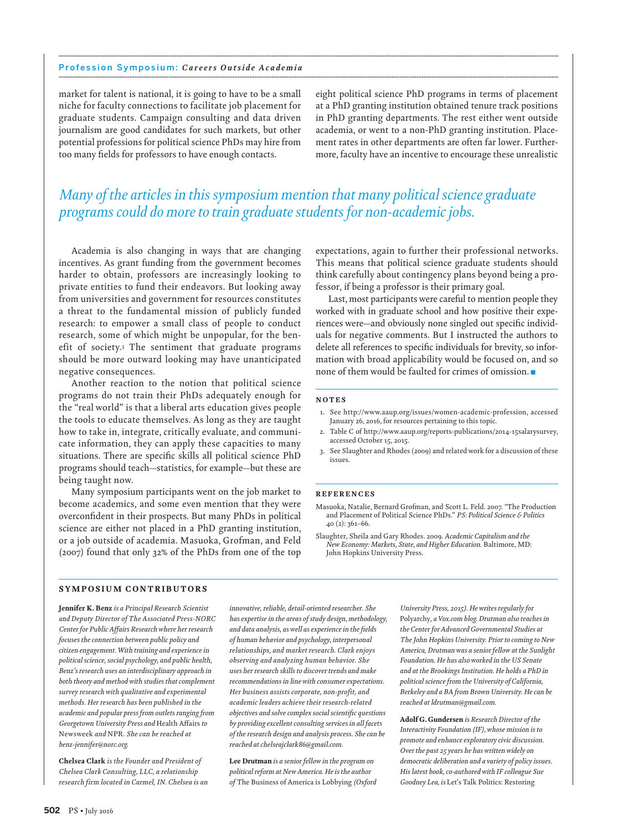#### Profession Symposium: *Careers Outside Academia* **........................................................................................................................................................................................................................................................................................................**

market for talent is national, it is going to have to be a small niche for faculty connections to facilitate job placement for graduate students. Campaign consulting and data driven journalism are good candidates for such markets, but other potential professions for political science PhDs may hire from too many fields for professors to have enough contacts.

eight political science PhD programs in terms of placement at a PhD granting institution obtained tenure track positions in PhD granting departments. The rest either went outside academia, or went to a non-PhD granting institution. Placement rates in other departments are often far lower. Furthermore, faculty have an incentive to encourage these unrealistic

## *Many of the articles in this symposium mention that many political science graduate programs could do more to train graduate students for non-academic jobs.*

**........................................................................................................................................................................................................................................................................................................**

 Academia is also changing in ways that are changing incentives. As grant funding from the government becomes harder to obtain, professors are increasingly looking to private entities to fund their endeavors. But looking away from universities and government for resources constitutes a threat to the fundamental mission of publicly funded research: to empower a small class of people to conduct research, some of which might be unpopular, for the benefit of society.<sup>3</sup> The sentiment that graduate programs should be more outward looking may have unanticipated negative consequences.

 Another reaction to the notion that political science programs do not train their PhDs adequately enough for the "real world" is that a liberal arts education gives people the tools to educate themselves. As long as they are taught how to take in, integrate, critically evaluate, and communicate information, they can apply these capacities to many situations. There are specific skills all political science PhD programs should teach—statistics, for example—but these are being taught now.

 Many symposium participants went on the job market to become academics, and some even mention that they were overconfident in their prospects. But many PhDs in political science are either not placed in a PhD granting institution, or a job outside of academia. Masuoka, Grofman, and Feld (2007) found that only 32% of the PhDs from one of the top expectations, again to further their professional networks. This means that political science graduate students should think carefully about contingency plans beyond being a professor, if being a professor is their primary goal.

 Last, most participants were careful to mention people they worked with in graduate school and how positive their experiences were—and obviously none singled out specific individuals for negative comments. But I instructed the authors to delete all references to specific individuals for brevity, so information with broad applicability would be focused on, and so none of them would be faulted for crimes of omission.

### **N O T E S**

- 1. See http://www.aaup.org/issues/women-academic-profession, accessed January 26, 2016, for resources pertaining to this topic.
- 2. Table C of http://www.aaup.org/reports-publications/2014-15salarysurvey, accessed October 15, 2015.
- 3. See Slaughter and Rhodes (2009) and related work for a discussion of these issues.

## **R E F E R E N C E S**

- Masuoka, Natalie, Bernard Grofman, and Scott L. Feld. 2007. "The Production and Placement of Political Science PhDs." *PS: Political Science & Politics* 40 (2): 361-66.
- Slaughter, Sheila and Gary Rhodes. 2009. Academic Capitalism and the *New Economy: Markets, State, and Higher Education.* Baltimore, MD : John Hopkins University Press .

## **SYMPOSIUM CONTRIBUTORS**

**Jennifer K. Benz** *is a Principal Research Scientist and Deputy Director of The Associated Press-NORC Center for Public Aff airs Research where her research focuses the connection between public policy and citizen engagement. With training and experience in political science, social psychology, and public health, Benz's research uses an interdisciplinary approach in both theory and method with studies that complement survey research with qualitative and experimental methods. Her research has been published in the academic and popular press from outlets ranging from*  Georgetown University Press and Health Affairs to Newsweek *and* NPR *. She can be reached at benz-jennifer@norc.org .* 

**Chelsea Clark** *is the Founder and President of Chelsea Clark Consulting, LLC, a relationship research firm located in Carmel, IN. Chelsea is an* 

*innovative, reliable, detail-oriented researcher. She has expertise in the areas of study design, methodology,*  and data analysis, as well as experience in the fields *of human behavior and psychology, interpersonal relationships, and market research. Clark enjoys observing and analyzing human behavior. She uses her research skills to discover trends and make recommendations in line with consumer expectations. Her business assists corporate, non-profit, and academic leaders achieve their research-related*   $objectives$  and solve complex social scientific questions *by providing excellent consulting services in all facets of the research design and analysis process. She can be reached at chelseajclark86@gmail.com .* 

**Lee Drutman** *is a senior fellow in the program on political reform at New America. He is the author of* The Business of America is Lobbying *(Oxford* 

*University Press, 2015). He writes regularly for*  Polyarchy *, a Vox.com blog. Drutman also teaches in the Center for Advanced Governmental Studies at The John Hopkins University. Prior to coming to New America, Drutman was a senior fellow at the Sunlight Foundation. He has also worked in the US Senate and at the Brookings Institution. He holds a PhD in political science from the University of California, Berkeley and a BA from Brown University. He can be reached at ldrutman@gmail.com .* 

**Adolf G. Gundersen** *is Research Director of the Interactivity Foundation (IF), whose mission is to promote and enhance exploratory civic discussion. Over the past 25 years he has written widely on democratic deliberation and a variety of policy issues. His latest book, co-authored with IF colleague Sue Goodney Lea, is* Let's Talk Politics: Restoring